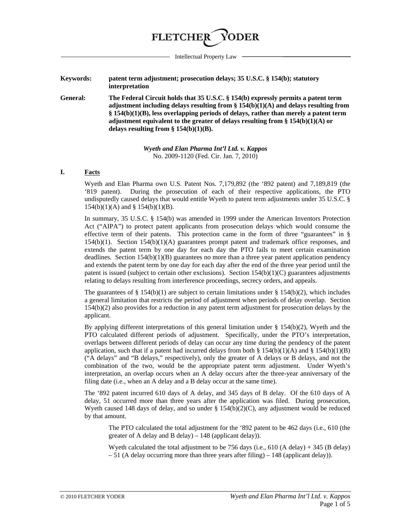

Intellectual Property Law

- **Keywords: patent term adjustment; prosecution delays; 35 U.S.C. § 154(b); statutory interpretation**
- **General: The Federal Circuit holds that 35 U.S.C. § 154(b) expressly permits a patent term adjustment including delays resulting from § 154(b)(1)(A) and delays resulting from § 154(b)(1)(B), less overlapping periods of delays, rather than merely a patent term adjustment equivalent to the greater of delays resulting from § 154(b)(1)(A) or delays resulting from § 154(b)(1)(B).**

*Wyeth and Elan Pharma Int'l Ltd. v. Kappos* No. 2009-1120 (Fed. Cir. Jan. 7, 2010)

### **I. Facts**

Wyeth and Elan Pharma own U.S. Patent Nos. 7,179,892 (the '892 patent) and 7,189,819 (the '819 patent). During the prosecution of each of their respective applications, the PTO undisputedly caused delays that would entitle Wyeth to patent term adjustments under 35 U.S.C. § 154(b)(1)(A) and § 154(b)(1)(B).

In summary, 35 U.S.C. § 154(b) was amended in 1999 under the American Inventors Protection Act ("AIPA") to protect patent applicants from prosecution delays which would consume the effective term of their patents. This protection came in the form of three "guarantees" in § 154(b)(1). Section 154(b)(1)(A) guarantees prompt patent and trademark office responses, and extends the patent term by one day for each day the PTO fails to meet certain examination deadlines. Section 154(b)(1)(B) guarantees no more than a three year patent application pendency and extends the patent term by one day for each day after the end of the three year period until the patent is issued (subject to certain other exclusions). Section  $154(b)(1)(C)$  guarantees adjustments relating to delays resulting from interference proceedings, secrecy orders, and appeals.

The guarantees of § 154(b)(1) are subject to certain limitations under § 154(b)(2), which includes a general limitation that restricts the period of adjustment when periods of delay overlap. Section 154(b)(2) also provides for a reduction in any patent term adjustment for prosecution delays by the applicant.

By applying different interpretations of this general limitation under § 154(b)(2), Wyeth and the PTO calculated different periods of adjustment. Specifically, under the PTO's interpretation, overlaps between different periods of delay can occur any time during the pendency of the patent application, such that if a patent had incurred delays from both § 154(b)(1)(A) and § 154(b)(1)(B) ("A delays" and "B delays," respectively), only the greater of A delays or B delays, and not the combination of the two, would be the appropriate patent term adjustment. Under Wyeth's interpretation, an overlap occurs when an A delay occurs after the three-year anniversary of the filing date (i.e., when an A delay and a B delay occur at the same time).

The '892 patent incurred 610 days of A delay, and 345 days of B delay. Of the 610 days of A delay, 51 occurred more than three years after the application was filed. During prosecution, Wyeth caused 148 days of delay, and so under § 154(b)(2)(C), any adjustment would be reduced by that amount.

The PTO calculated the total adjustment for the '892 patent to be 462 days (i.e., 610 (the greater of A delay and B delay) – 148 (applicant delay)).

Wyeth calculated the total adjustment to be 756 days (i.e., 610 (A delay) + 345 (B delay)  $-51$  (A delay occurring more than three years after filing)  $-148$  (applicant delay)).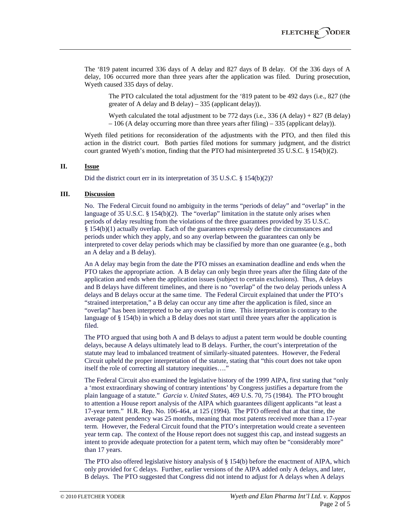The '819 patent incurred 336 days of A delay and 827 days of B delay. Of the 336 days of A delay, 106 occurred more than three years after the application was filed. During prosecution, Wyeth caused 335 days of delay.

The PTO calculated the total adjustment for the '819 patent to be 492 days (i.e., 827 (the greater of A delay and B delay) – 335 (applicant delay)).

Wyeth calculated the total adjustment to be 772 days (i.e., 336 (A delay) + 827 (B delay)  $-106$  (A delay occurring more than three years after filing)  $-335$  (applicant delay)).

Wyeth filed petitions for reconsideration of the adjustments with the PTO, and then filed this action in the district court. Both parties filed motions for summary judgment, and the district court granted Wyeth's motion, finding that the PTO had misinterpreted 35 U.S.C. § 154(b)(2).

# **II. Issue**

Did the district court err in its interpretation of 35 U.S.C. § 154(b)(2)?

#### **III. Discussion**

No. The Federal Circuit found no ambiguity in the terms "periods of delay" and "overlap" in the language of 35 U.S.C. § 154(b)(2). The "overlap" limitation in the statute only arises when periods of delay resulting from the violations of the three guarantees provided by 35 U.S.C. § 154(b)(1) actually overlap. Each of the guarantees expressly define the circumstances and periods under which they apply, and so any overlap between the guarantees can only be interpreted to cover delay periods which may be classified by more than one guarantee (e.g., both an A delay and a B delay).

An A delay may begin from the date the PTO misses an examination deadline and ends when the PTO takes the appropriate action. A B delay can only begin three years after the filing date of the application and ends when the application issues (subject to certain exclusions). Thus, A delays and B delays have different timelines, and there is no "overlap" of the two delay periods unless A delays and B delays occur at the same time. The Federal Circuit explained that under the PTO's "strained interpretation," a B delay can occur any time after the application is filed, since an "overlap" has been interpreted to be any overlap in time. This interpretation is contrary to the language of § 154(b) in which a B delay does not start until three years after the application is filed.

The PTO argued that using both A and B delays to adjust a patent term would be double counting delays, because A delays ultimately lead to B delays. Further, the court's interpretation of the statute may lead to imbalanced treatment of similarly-situated patentees. However, the Federal Circuit upheld the proper interpretation of the statute, stating that "this court does not take upon itself the role of correcting all statutory inequities…."

The Federal Circuit also examined the legislative history of the 1999 AIPA, first stating that "only a 'most extraordinary showing of contrary intentions' by Congress justifies a departure from the plain language of a statute." *Garcia v. United States*, 469 U.S. 70, 75 (1984). The PTO brought to attention a House report analysis of the AIPA which guarantees diligent applicants "at least a 17-year term." H.R. Rep. No. 106-464, at 125 (1994). The PTO offered that at that time, the average patent pendency was 25 months, meaning that most patents received more than a 17-year term. However, the Federal Circuit found that the PTO's interpretation would create a seventeen year term cap. The context of the House report does not suggest this cap, and instead suggests an intent to provide adequate protection for a patent term, which may often be "considerably more" than 17 years.

The PTO also offered legislative history analysis of § 154(b) before the enactment of AIPA, which only provided for C delays. Further, earlier versions of the AIPA added only A delays, and later, B delays. The PTO suggested that Congress did not intend to adjust for A delays when A delays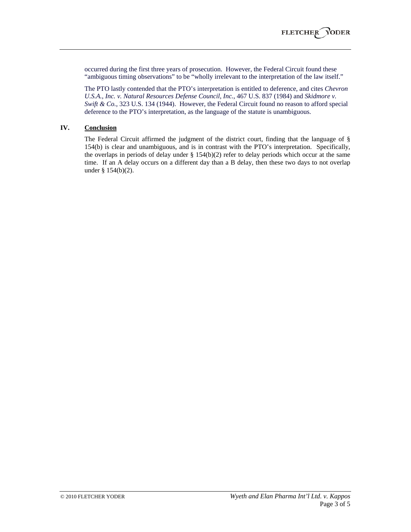occurred during the first three years of prosecution. However, the Federal Circuit found these "ambiguous timing observations" to be "wholly irrelevant to the interpretation of the law itself."

The PTO lastly contended that the PTO's interpretation is entitled to deference, and cites *Chevron U.S.A., Inc. v. Natural Resources Defense Council, Inc.*, 467 U.S. 837 (1984) and *Skidmore v. Swift & Co.*, 323 U.S. 134 (1944). However, the Federal Circuit found no reason to afford special deference to the PTO's interpretation, as the language of the statute is unambiguous.

# **IV. Conclusion**

The Federal Circuit affirmed the judgment of the district court, finding that the language of § 154(b) is clear and unambiguous, and is in contrast with the PTO's interpretation. Specifically, the overlaps in periods of delay under § 154(b)(2) refer to delay periods which occur at the same time. If an A delay occurs on a different day than a B delay, then these two days to not overlap under § 154(b)(2).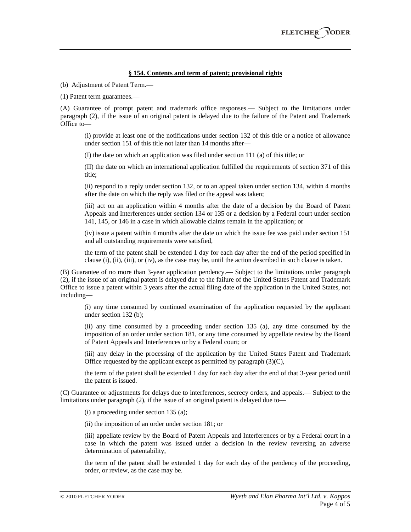### **§ 154. Contents and term of patent; provisional rights**

(b) Adjustment of Patent Term.—

(1) Patent term guarantees.—

(A) Guarantee of prompt patent and trademark office responses.— Subject to the limitations under paragraph (2), if the issue of an original patent is delayed due to the failure of the Patent and Trademark Office to—

(i) provide at least one of the notifications under section 132 of this title or a notice of allowance under section 151 of this title not later than 14 months after—

(I) the date on which an application was filed under section 111 (a) of this title; or

(II) the date on which an international application fulfilled the requirements of section 371 of this title;

(ii) respond to a reply under section 132, or to an appeal taken under section 134, within 4 months after the date on which the reply was filed or the appeal was taken;

(iii) act on an application within 4 months after the date of a decision by the Board of Patent Appeals and Interferences under section 134 or 135 or a decision by a Federal court under section 141, 145, or 146 in a case in which allowable claims remain in the application; or

(iv) issue a patent within 4 months after the date on which the issue fee was paid under section 151 and all outstanding requirements were satisfied,

the term of the patent shall be extended 1 day for each day after the end of the period specified in clause (i), (ii), (iii), or (iv), as the case may be, until the action described in such clause is taken.

(B) Guarantee of no more than 3-year application pendency.— Subject to the limitations under paragraph (2), if the issue of an original patent is delayed due to the failure of the United States Patent and Trademark Office to issue a patent within 3 years after the actual filing date of the application in the United States, not including—

(i) any time consumed by continued examination of the application requested by the applicant under section 132 (b);

(ii) any time consumed by a proceeding under section 135 (a), any time consumed by the imposition of an order under section 181, or any time consumed by appellate review by the Board of Patent Appeals and Interferences or by a Federal court; or

(iii) any delay in the processing of the application by the United States Patent and Trademark Office requested by the applicant except as permitted by paragraph  $(3)(C)$ ,

the term of the patent shall be extended 1 day for each day after the end of that 3-year period until the patent is issued.

(C) Guarantee or adjustments for delays due to interferences, secrecy orders, and appeals.— Subject to the limitations under paragraph (2), if the issue of an original patent is delayed due to—

(i) a proceeding under section 135 (a);

(ii) the imposition of an order under section 181; or

(iii) appellate review by the Board of Patent Appeals and Interferences or by a Federal court in a case in which the patent was issued under a decision in the review reversing an adverse determination of patentability,

the term of the patent shall be extended 1 day for each day of the pendency of the proceeding, order, or review, as the case may be.